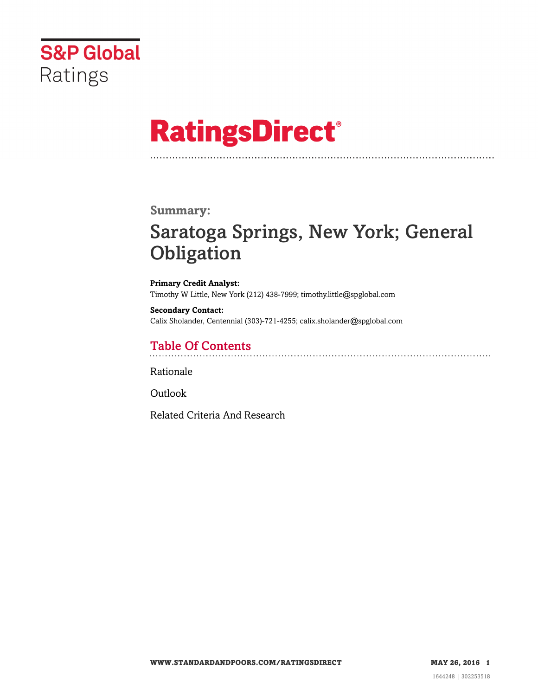

# **RatingsDirect®**

### **Summary:**

## Saratoga Springs, New York; General **Obligation**

**Primary Credit Analyst:** Timothy W Little, New York (212) 438-7999; timothy.little@spglobal.com

**Secondary Contact:** Calix Sholander, Centennial (303)-721-4255; calix.sholander@spglobal.com

## Table Of Contents

[Rationale](#page-1-0)

[Outlook](#page-4-0)

[Related Criteria And Research](#page-4-1)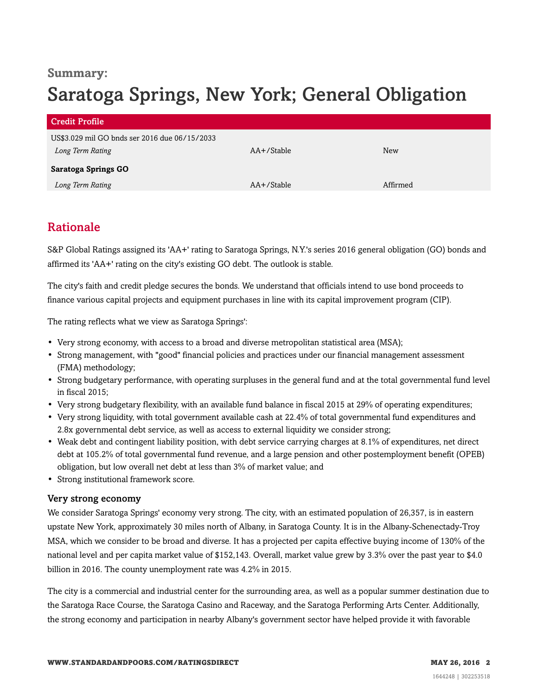### **Summary:**

## Saratoga Springs, New York; General Obligation

| <b>Credit Profile</b>                         |            |          |
|-----------------------------------------------|------------|----------|
| US\$3.029 mil GO bnds ser 2016 due 06/15/2033 |            |          |
| Long Term Rating                              | AA+/Stable | New      |
| <b>Saratoga Springs GO</b>                    |            |          |
| Long Term Rating                              | AA+/Stable | Affirmed |

## <span id="page-1-0"></span>Rationale

S&P Global Ratings assigned its 'AA+' rating to Saratoga Springs, N.Y.'s series 2016 general obligation (GO) bonds and affirmed its 'AA+' rating on the city's existing GO debt. The outlook is stable.

The city's faith and credit pledge secures the bonds. We understand that officials intend to use bond proceeds to finance various capital projects and equipment purchases in line with its capital improvement program (CIP).

The rating reflects what we view as Saratoga Springs':

- Very strong economy, with access to a broad and diverse metropolitan statistical area (MSA);
- Strong management, with "good" financial policies and practices under our financial management assessment (FMA) methodology;
- Strong budgetary performance, with operating surpluses in the general fund and at the total governmental fund level in fiscal 2015;
- Very strong budgetary flexibility, with an available fund balance in fiscal 2015 at 29% of operating expenditures;
- Very strong liquidity, with total government available cash at 22.4% of total governmental fund expenditures and 2.8x governmental debt service, as well as access to external liquidity we consider strong;
- Weak debt and contingent liability position, with debt service carrying charges at 8.1% of expenditures, net direct debt at 105.2% of total governmental fund revenue, and a large pension and other postemployment benefit (OPEB) obligation, but low overall net debt at less than 3% of market value; and
- Strong institutional framework score.

#### Very strong economy

We consider Saratoga Springs' economy very strong. The city, with an estimated population of 26,357, is in eastern upstate New York, approximately 30 miles north of Albany, in Saratoga County. It is in the Albany-Schenectady-Troy MSA, which we consider to be broad and diverse. It has a projected per capita effective buying income of 130% of the national level and per capita market value of \$152,143. Overall, market value grew by 3.3% over the past year to \$4.0 billion in 2016. The county unemployment rate was 4.2% in 2015.

The city is a commercial and industrial center for the surrounding area, as well as a popular summer destination due to the Saratoga Race Course, the Saratoga Casino and Raceway, and the Saratoga Performing Arts Center. Additionally, the strong economy and participation in nearby Albany's government sector have helped provide it with favorable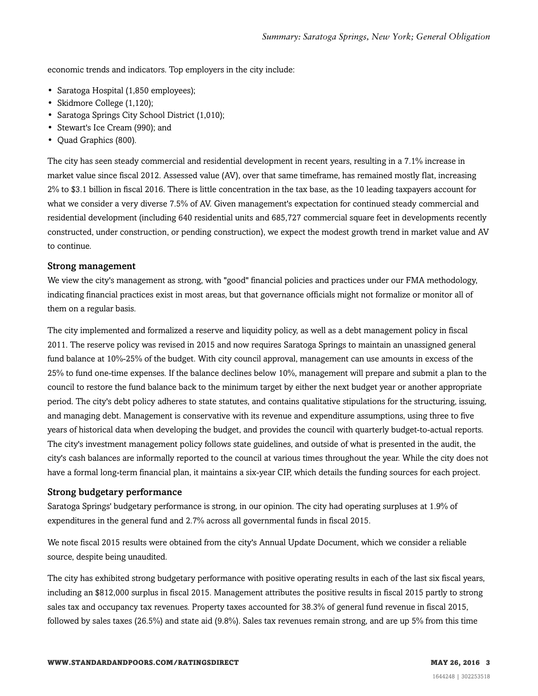economic trends and indicators. Top employers in the city include:

- Saratoga Hospital (1,850 employees);
- Skidmore College (1,120);
- Saratoga Springs City School District (1,010);
- Stewart's Ice Cream (990); and
- Quad Graphics (800).

The city has seen steady commercial and residential development in recent years, resulting in a 7.1% increase in market value since fiscal 2012. Assessed value (AV), over that same timeframe, has remained mostly flat, increasing 2% to \$3.1 billion in fiscal 2016. There is little concentration in the tax base, as the 10 leading taxpayers account for what we consider a very diverse 7.5% of AV. Given management's expectation for continued steady commercial and residential development (including 640 residential units and 685,727 commercial square feet in developments recently constructed, under construction, or pending construction), we expect the modest growth trend in market value and AV to continue.

#### Strong management

We view the city's management as strong, with "good" financial policies and practices under our FMA methodology, indicating financial practices exist in most areas, but that governance officials might not formalize or monitor all of them on a regular basis.

The city implemented and formalized a reserve and liquidity policy, as well as a debt management policy in fiscal 2011. The reserve policy was revised in 2015 and now requires Saratoga Springs to maintain an unassigned general fund balance at 10%-25% of the budget. With city council approval, management can use amounts in excess of the 25% to fund one-time expenses. If the balance declines below 10%, management will prepare and submit a plan to the council to restore the fund balance back to the minimum target by either the next budget year or another appropriate period. The city's debt policy adheres to state statutes, and contains qualitative stipulations for the structuring, issuing, and managing debt. Management is conservative with its revenue and expenditure assumptions, using three to five years of historical data when developing the budget, and provides the council with quarterly budget-to-actual reports. The city's investment management policy follows state guidelines, and outside of what is presented in the audit, the city's cash balances are informally reported to the council at various times throughout the year. While the city does not have a formal long-term financial plan, it maintains a six-year CIP, which details the funding sources for each project.

#### Strong budgetary performance

Saratoga Springs' budgetary performance is strong, in our opinion. The city had operating surpluses at 1.9% of expenditures in the general fund and 2.7% across all governmental funds in fiscal 2015.

We note fiscal 2015 results were obtained from the city's Annual Update Document, which we consider a reliable source, despite being unaudited.

The city has exhibited strong budgetary performance with positive operating results in each of the last six fiscal years, including an \$812,000 surplus in fiscal 2015. Management attributes the positive results in fiscal 2015 partly to strong sales tax and occupancy tax revenues. Property taxes accounted for 38.3% of general fund revenue in fiscal 2015, followed by sales taxes (26.5%) and state aid (9.8%). Sales tax revenues remain strong, and are up 5% from this time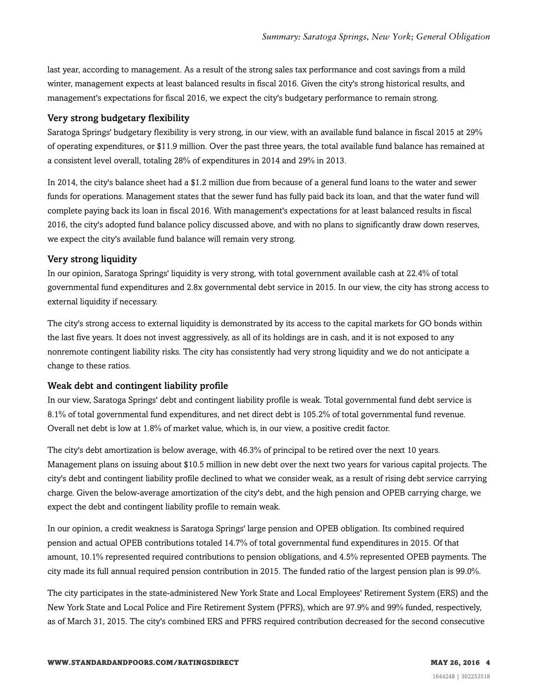last year, according to management. As a result of the strong sales tax performance and cost savings from a mild winter, management expects at least balanced results in fiscal 2016. Given the city's strong historical results, and management's expectations for fiscal 2016, we expect the city's budgetary performance to remain strong.

#### Very strong budgetary flexibility

Saratoga Springs' budgetary flexibility is very strong, in our view, with an available fund balance in fiscal 2015 at 29% of operating expenditures, or \$11.9 million. Over the past three years, the total available fund balance has remained at a consistent level overall, totaling 28% of expenditures in 2014 and 29% in 2013.

In 2014, the city's balance sheet had a \$1.2 million due from because of a general fund loans to the water and sewer funds for operations. Management states that the sewer fund has fully paid back its loan, and that the water fund will complete paying back its loan in fiscal 2016. With management's expectations for at least balanced results in fiscal 2016, the city's adopted fund balance policy discussed above, and with no plans to significantly draw down reserves, we expect the city's available fund balance will remain very strong.

#### Very strong liquidity

In our opinion, Saratoga Springs' liquidity is very strong, with total government available cash at 22.4% of total governmental fund expenditures and 2.8x governmental debt service in 2015. In our view, the city has strong access to external liquidity if necessary.

The city's strong access to external liquidity is demonstrated by its access to the capital markets for GO bonds within the last five years. It does not invest aggressively, as all of its holdings are in cash, and it is not exposed to any nonremote contingent liability risks. The city has consistently had very strong liquidity and we do not anticipate a change to these ratios.

#### Weak debt and contingent liability profile

In our view, Saratoga Springs' debt and contingent liability profile is weak. Total governmental fund debt service is 8.1% of total governmental fund expenditures, and net direct debt is 105.2% of total governmental fund revenue. Overall net debt is low at 1.8% of market value, which is, in our view, a positive credit factor.

The city's debt amortization is below average, with 46.3% of principal to be retired over the next 10 years. Management plans on issuing about \$10.5 million in new debt over the next two years for various capital projects. The city's debt and contingent liability profile declined to what we consider weak, as a result of rising debt service carrying charge. Given the below-average amortization of the city's debt, and the high pension and OPEB carrying charge, we expect the debt and contingent liability profile to remain weak.

In our opinion, a credit weakness is Saratoga Springs' large pension and OPEB obligation. Its combined required pension and actual OPEB contributions totaled 14.7% of total governmental fund expenditures in 2015. Of that amount, 10.1% represented required contributions to pension obligations, and 4.5% represented OPEB payments. The city made its full annual required pension contribution in 2015. The funded ratio of the largest pension plan is 99.0%.

The city participates in the state-administered New York State and Local Employees' Retirement System (ERS) and the New York State and Local Police and Fire Retirement System (PFRS), which are 97.9% and 99% funded, respectively, as of March 31, 2015. The city's combined ERS and PFRS required contribution decreased for the second consecutive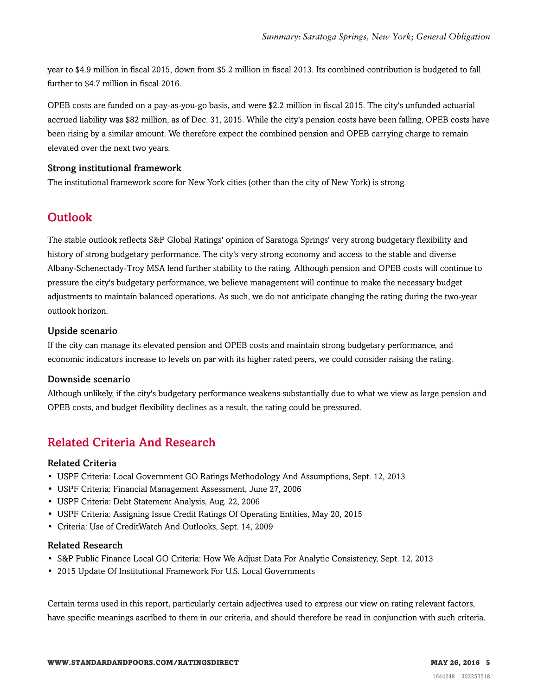year to \$4.9 million in fiscal 2015, down from \$5.2 million in fiscal 2013. Its combined contribution is budgeted to fall further to \$4.7 million in fiscal 2016.

OPEB costs are funded on a pay-as-you-go basis, and were \$2.2 million in fiscal 2015. The city's unfunded actuarial accrued liability was \$82 million, as of Dec. 31, 2015. While the city's pension costs have been falling, OPEB costs have been rising by a similar amount. We therefore expect the combined pension and OPEB carrying charge to remain elevated over the next two years.

#### Strong institutional framework

<span id="page-4-0"></span>The institutional framework score for New York cities (other than the city of New York) is strong.

## **Outlook**

The stable outlook reflects S&P Global Ratings' opinion of Saratoga Springs' very strong budgetary flexibility and history of strong budgetary performance. The city's very strong economy and access to the stable and diverse Albany-Schenectady-Troy MSA lend further stability to the rating. Although pension and OPEB costs will continue to pressure the city's budgetary performance, we believe management will continue to make the necessary budget adjustments to maintain balanced operations. As such, we do not anticipate changing the rating during the two-year outlook horizon.

#### Upside scenario

If the city can manage its elevated pension and OPEB costs and maintain strong budgetary performance, and economic indicators increase to levels on par with its higher rated peers, we could consider raising the rating.

#### Downside scenario

Although unlikely, if the city's budgetary performance weakens substantially due to what we view as large pension and OPEB costs, and budget flexibility declines as a result, the rating could be pressured.

## <span id="page-4-1"></span>Related Criteria And Research

#### Related Criteria

- USPF Criteria: Local Government GO Ratings Methodology And Assumptions, Sept. 12, 2013
- USPF Criteria: Financial Management Assessment, June 27, 2006
- USPF Criteria: Debt Statement Analysis, Aug. 22, 2006
- USPF Criteria: Assigning Issue Credit Ratings Of Operating Entities, May 20, 2015
- Criteria: Use of CreditWatch And Outlooks, Sept. 14, 2009

#### Related Research

- S&P Public Finance Local GO Criteria: How We Adjust Data For Analytic Consistency, Sept. 12, 2013
- 2015 Update Of Institutional Framework For U.S. Local Governments

Certain terms used in this report, particularly certain adjectives used to express our view on rating relevant factors, have specific meanings ascribed to them in our criteria, and should therefore be read in conjunction with such criteria.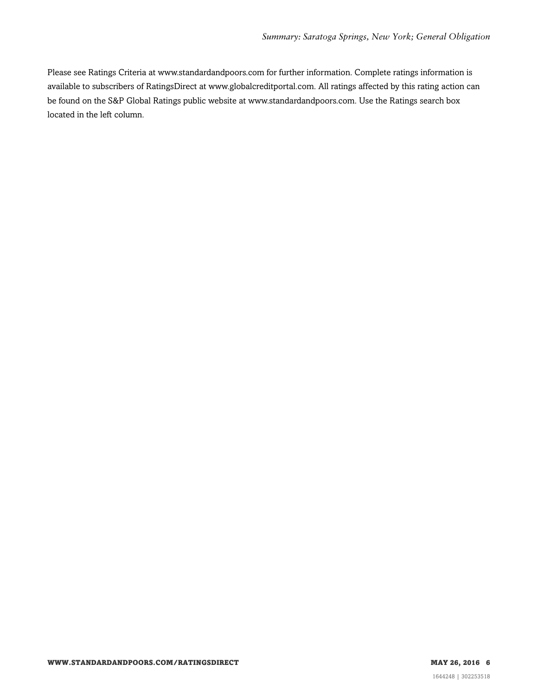Please see Ratings Criteria at www.standardandpoors.com for further information. Complete ratings information is available to subscribers of RatingsDirect at www.globalcreditportal.com. All ratings affected by this rating action can be found on the S&P Global Ratings public website at www.standardandpoors.com. Use the Ratings search box located in the left column.